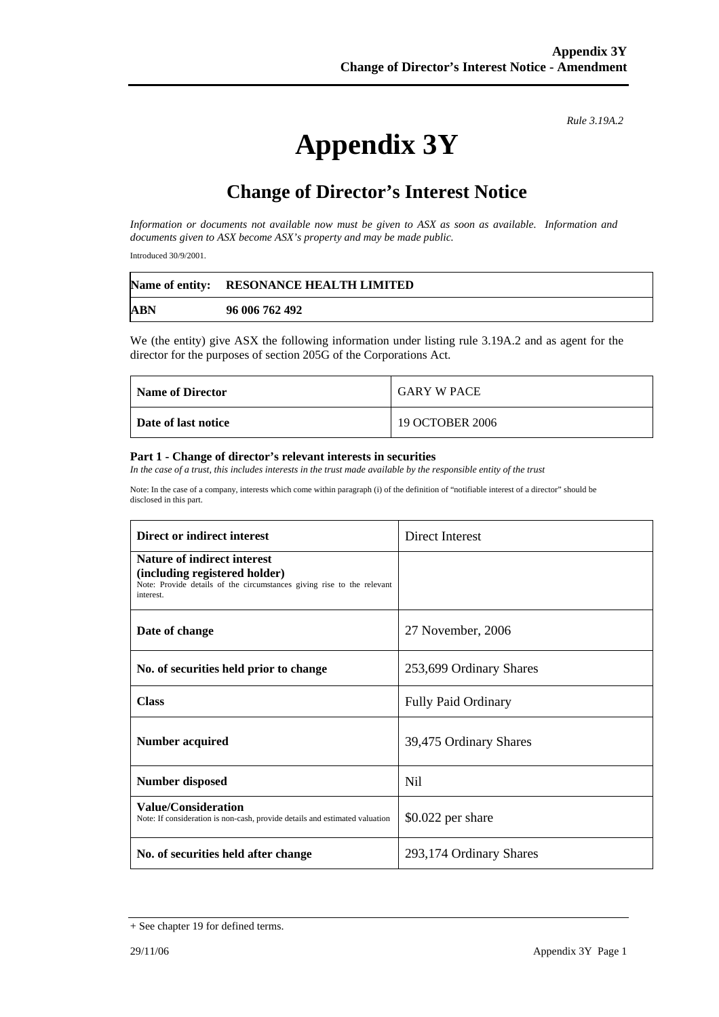*Rule 3.19A.2*

# **Appendix 3Y**

## **Change of Director's Interest Notice**

*Information or documents not available now must be given to ASX as soon as available. Information and documents given to ASX become ASX's property and may be made public.* 

Introduced 30/9/2001.

|            | Name of entity: RESONANCE HEALTH LIMITED |
|------------|------------------------------------------|
| <b>ABN</b> | 96 006 762 492                           |

We (the entity) give ASX the following information under listing rule 3.19A.2 and as agent for the director for the purposes of section 205G of the Corporations Act.

| <b>Name of Director</b> | <b>GARY W PACE</b> |
|-------------------------|--------------------|
| Date of last notice     | 19 OCTOBER 2006    |

#### **Part 1 - Change of director's relevant interests in securities**

*In the case of a trust, this includes interests in the trust made available by the responsible entity of the trust* 

Note: In the case of a company, interests which come within paragraph (i) of the definition of "notifiable interest of a director" should be disclosed in this part.

| Direct or indirect interest                                                                                                                                | Direct Interest            |
|------------------------------------------------------------------------------------------------------------------------------------------------------------|----------------------------|
| <b>Nature of indirect interest</b><br>(including registered holder)<br>Note: Provide details of the circumstances giving rise to the relevant<br>interest. |                            |
| Date of change                                                                                                                                             | 27 November, 2006          |
| No. of securities held prior to change                                                                                                                     | 253,699 Ordinary Shares    |
| <b>Class</b>                                                                                                                                               | <b>Fully Paid Ordinary</b> |
| <b>Number acquired</b>                                                                                                                                     | 39,475 Ordinary Shares     |
| <b>Number disposed</b>                                                                                                                                     | N <sub>il</sub>            |
| <b>Value/Consideration</b><br>Note: If consideration is non-cash, provide details and estimated valuation                                                  | $$0.022$ per share         |
| No. of securities held after change                                                                                                                        | 293,174 Ordinary Shares    |

<sup>+</sup> See chapter 19 for defined terms.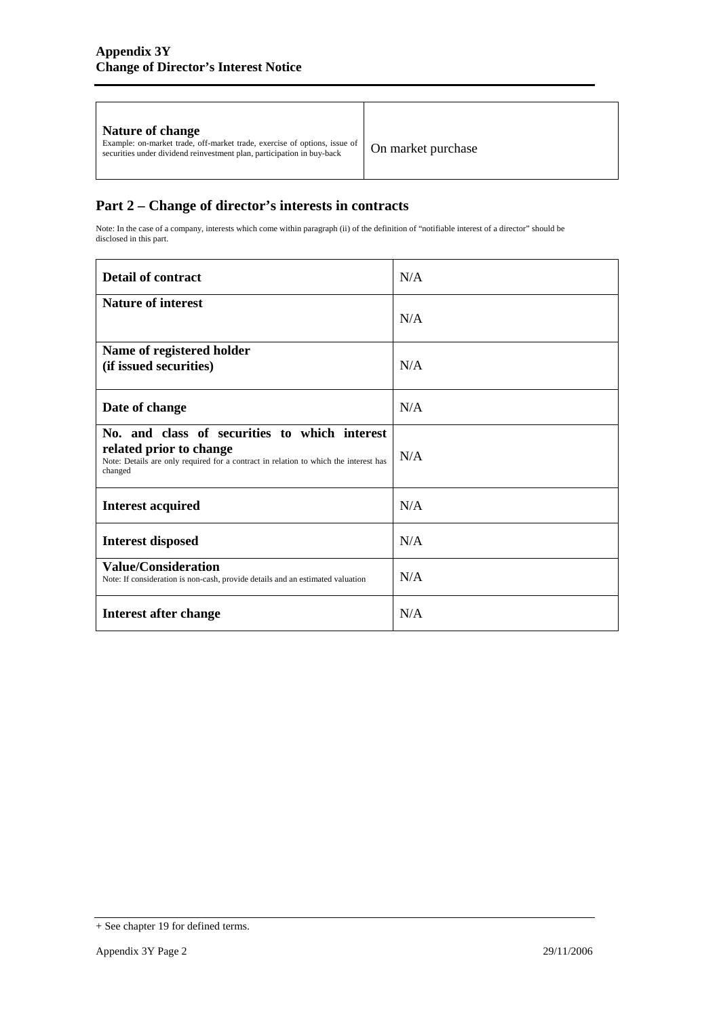| On market purchase<br>securities under dividend reinvestment plan, participation in buy-back |
|----------------------------------------------------------------------------------------------|
|----------------------------------------------------------------------------------------------|

### **Part 2 – Change of director's interests in contracts**

Note: In the case of a company, interests which come within paragraph (ii) of the definition of "notifiable interest of a director" should be disclosed in this part.

| <b>Detail of contract</b>                                                                                                                                                   | N/A |
|-----------------------------------------------------------------------------------------------------------------------------------------------------------------------------|-----|
| <b>Nature of interest</b>                                                                                                                                                   | N/A |
| Name of registered holder<br>(if issued securities)                                                                                                                         | N/A |
| Date of change                                                                                                                                                              | N/A |
| No. and class of securities to which interest<br>related prior to change<br>Note: Details are only required for a contract in relation to which the interest has<br>changed | N/A |
| <b>Interest acquired</b>                                                                                                                                                    | N/A |
| <b>Interest disposed</b>                                                                                                                                                    | N/A |
| <b>Value/Consideration</b><br>Note: If consideration is non-cash, provide details and an estimated valuation                                                                | N/A |
| Interest after change                                                                                                                                                       | N/A |

<sup>+</sup> See chapter 19 for defined terms.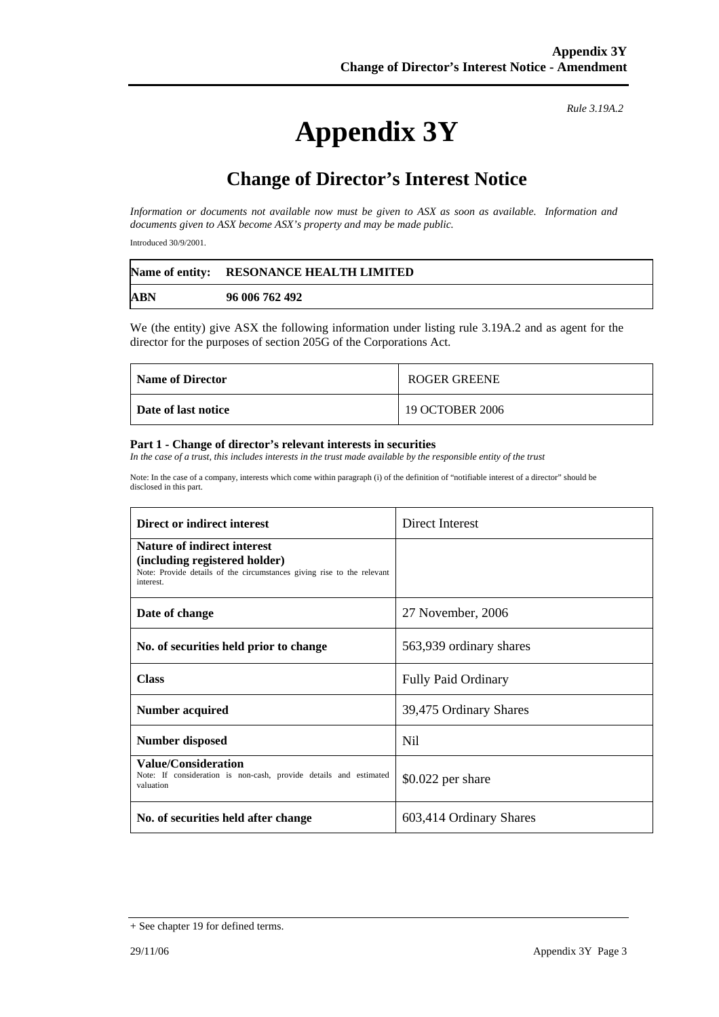# **Appendix 3Y**

*Rule 3.19A.2*

## **Change of Director's Interest Notice**

*Information or documents not available now must be given to ASX as soon as available. Information and documents given to ASX become ASX's property and may be made public.* 

Introduced 30/9/2001.

|            | Name of entity: RESONANCE HEALTH LIMITED |
|------------|------------------------------------------|
| <b>ABN</b> | 96 006 762 492                           |

We (the entity) give ASX the following information under listing rule 3.19A.2 and as agent for the director for the purposes of section 205G of the Corporations Act.

| <b>Name of Director</b> | <b>ROGER GREENE</b> |
|-------------------------|---------------------|
| Date of last notice     | 19 OCTOBER 2006     |

#### **Part 1 - Change of director's relevant interests in securities**

In the case of a trust, this includes interests in the trust made available by the responsible entity of the trust

Note: In the case of a company, interests which come within paragraph (i) of the definition of "notifiable interest of a director" should be disclosed in this part.

| Direct or indirect interest                                                                                                                                | Direct Interest            |
|------------------------------------------------------------------------------------------------------------------------------------------------------------|----------------------------|
| <b>Nature of indirect interest</b><br>(including registered holder)<br>Note: Provide details of the circumstances giving rise to the relevant<br>interest. |                            |
| Date of change                                                                                                                                             | 27 November, 2006          |
| No. of securities held prior to change                                                                                                                     | 563,939 ordinary shares    |
| <b>Class</b>                                                                                                                                               | <b>Fully Paid Ordinary</b> |
| Number acquired                                                                                                                                            | 39,475 Ordinary Shares     |
| <b>Number disposed</b>                                                                                                                                     | Nil.                       |
| Value/Consideration<br>Note: If consideration is non-cash, provide details and estimated<br>valuation                                                      | \$0.022 per share          |
| No. of securities held after change                                                                                                                        | 603,414 Ordinary Shares    |

<sup>+</sup> See chapter 19 for defined terms.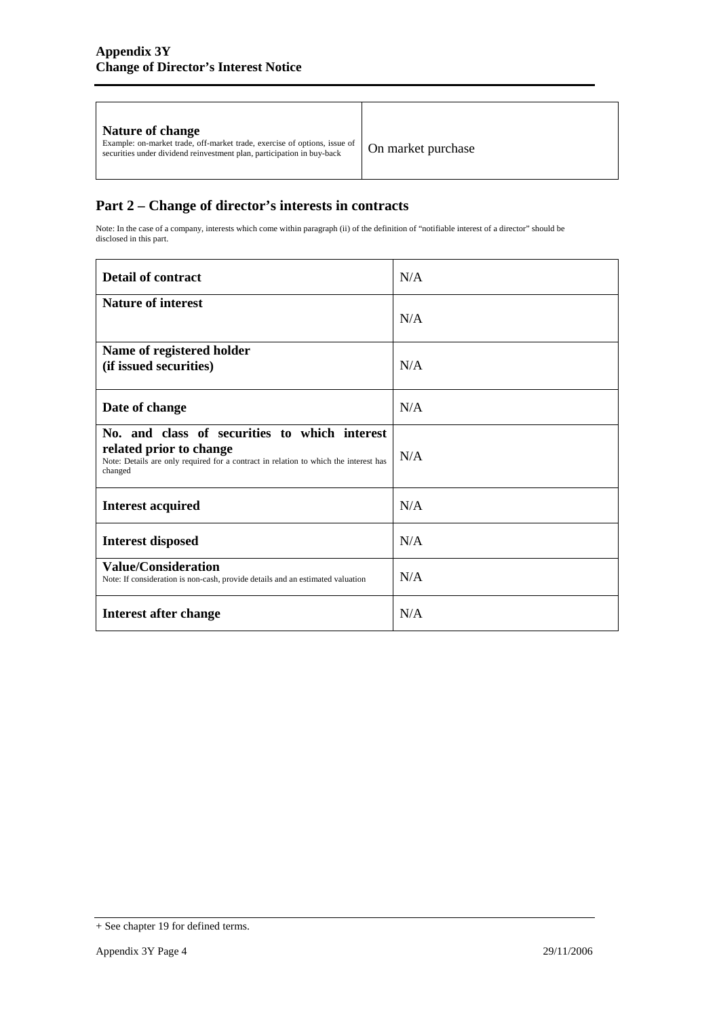| Nature of change<br>Example: on-market trade, off-market trade, exercise of options, issue of<br>securities under dividend reinvestment plan, participation in buy-back | On market purchase |
|-------------------------------------------------------------------------------------------------------------------------------------------------------------------------|--------------------|
|                                                                                                                                                                         |                    |

### **Part 2 – Change of director's interests in contracts**

Note: In the case of a company, interests which come within paragraph (ii) of the definition of "notifiable interest of a director" should be disclosed in this part.

| <b>Detail of contract</b>                                                                                                                                                   | N/A |
|-----------------------------------------------------------------------------------------------------------------------------------------------------------------------------|-----|
| <b>Nature of interest</b>                                                                                                                                                   | N/A |
| Name of registered holder<br>(if issued securities)                                                                                                                         | N/A |
| Date of change                                                                                                                                                              | N/A |
| No. and class of securities to which interest<br>related prior to change<br>Note: Details are only required for a contract in relation to which the interest has<br>changed | N/A |
| <b>Interest acquired</b>                                                                                                                                                    | N/A |
| <b>Interest disposed</b>                                                                                                                                                    | N/A |
| <b>Value/Consideration</b><br>Note: If consideration is non-cash, provide details and an estimated valuation                                                                | N/A |
| Interest after change                                                                                                                                                       | N/A |

<sup>+</sup> See chapter 19 for defined terms.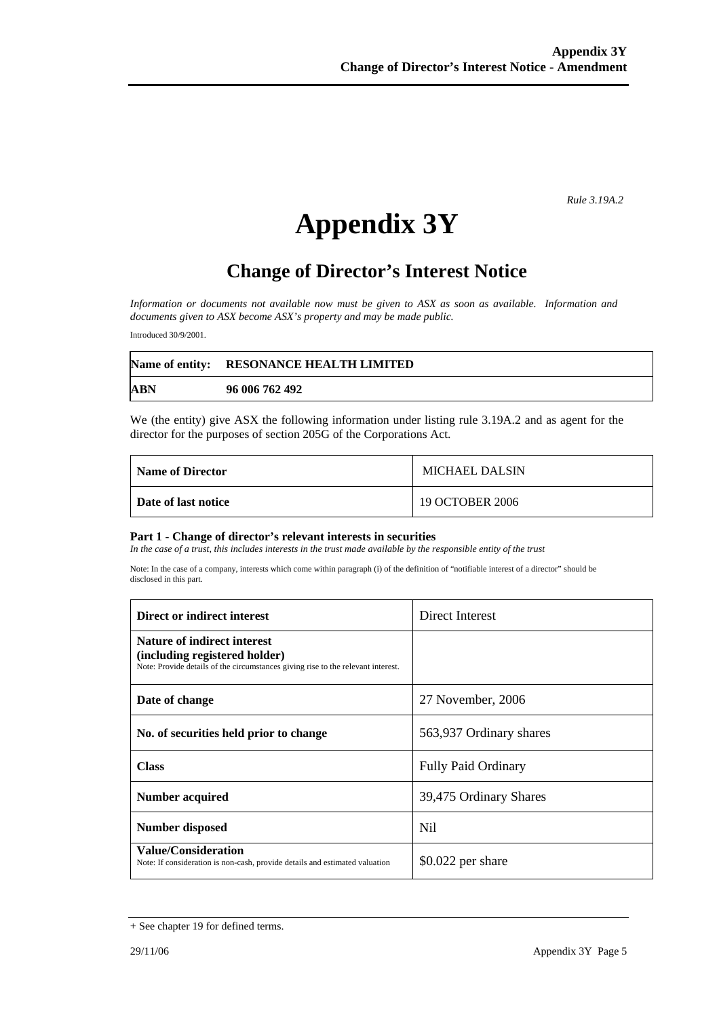*Rule 3.19A.2*

# **Appendix 3Y**

## **Change of Director's Interest Notice**

*Information or documents not available now must be given to ASX as soon as available. Information and documents given to ASX become ASX's property and may be made public.* 

Introduced 30/9/2001.

|            | Name of entity: RESONANCE HEALTH LIMITED |
|------------|------------------------------------------|
| <b>ABN</b> | 96 006 762 492                           |

We (the entity) give ASX the following information under listing rule 3.19A.2 and as agent for the director for the purposes of section 205G of the Corporations Act.

| Name of Director    | <b>MICHAEL DALSIN</b> |
|---------------------|-----------------------|
| Date of last notice | 19 OCTOBER 2006       |

#### **Part 1 - Change of director's relevant interests in securities**

In the case of a trust, this includes interests in the trust made available by the responsible entity of the trust

Note: In the case of a company, interests which come within paragraph (i) of the definition of "notifiable interest of a director" should be disclosed in this part.

| Direct or indirect interest                                                                                                                             | Direct Interest            |
|---------------------------------------------------------------------------------------------------------------------------------------------------------|----------------------------|
| <b>Nature of indirect interest</b><br>(including registered holder)<br>Note: Provide details of the circumstances giving rise to the relevant interest. |                            |
| Date of change                                                                                                                                          | 27 November, 2006          |
| No. of securities held prior to change                                                                                                                  | 563,937 Ordinary shares    |
| <b>Class</b>                                                                                                                                            | <b>Fully Paid Ordinary</b> |
| Number acquired                                                                                                                                         | 39,475 Ordinary Shares     |
| <b>Number disposed</b>                                                                                                                                  | Nil                        |
| <b>Value/Consideration</b><br>Note: If consideration is non-cash, provide details and estimated valuation                                               | $$0.022$ per share         |

<sup>+</sup> See chapter 19 for defined terms.